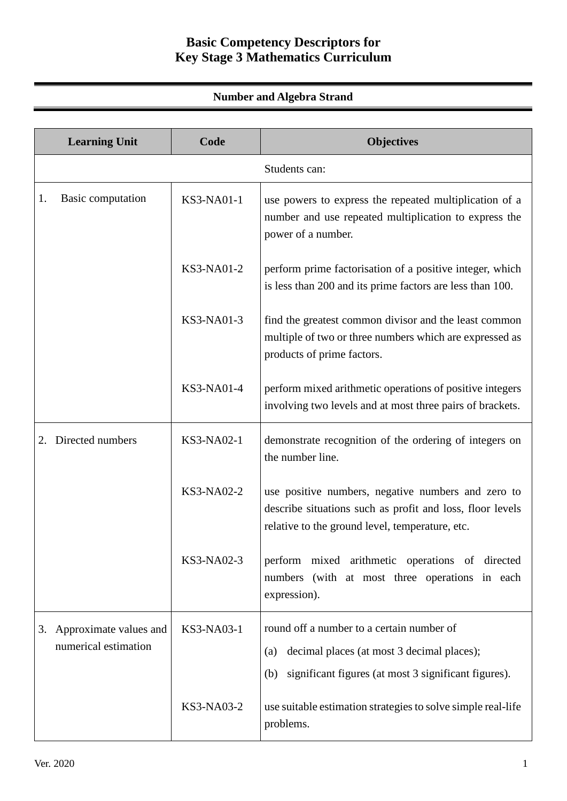# **Basic Competency Descriptors for Key Stage 3 Mathematics Curriculum**

## **Number and Algebra Strand**

|    | <b>Learning Unit</b>                              | Code              | <b>Objectives</b>                                                                                                                                                  |
|----|---------------------------------------------------|-------------------|--------------------------------------------------------------------------------------------------------------------------------------------------------------------|
|    |                                                   |                   | Students can:                                                                                                                                                      |
| 1. | Basic computation                                 | <b>KS3-NA01-1</b> | use powers to express the repeated multiplication of a<br>number and use repeated multiplication to express the<br>power of a number.                              |
|    |                                                   | KS3-NA01-2        | perform prime factorisation of a positive integer, which<br>is less than 200 and its prime factors are less than 100.                                              |
|    |                                                   | KS3-NA01-3        | find the greatest common divisor and the least common<br>multiple of two or three numbers which are expressed as<br>products of prime factors.                     |
|    |                                                   | KS3-NA01-4        | perform mixed arithmetic operations of positive integers<br>involving two levels and at most three pairs of brackets.                                              |
| 2. | Directed numbers                                  | KS3-NA02-1        | demonstrate recognition of the ordering of integers on<br>the number line.                                                                                         |
|    |                                                   | KS3-NA02-2        | use positive numbers, negative numbers and zero to<br>describe situations such as profit and loss, floor levels<br>relative to the ground level, temperature, etc. |
|    |                                                   | KS3-NA02-3        | perform mixed arithmetic operations of directed<br>numbers (with at most three operations in each<br>expression).                                                  |
|    | 3. Approximate values and<br>numerical estimation | KS3-NA03-1        | round off a number to a certain number of<br>decimal places (at most 3 decimal places);<br>(a)<br>significant figures (at most 3 significant figures).<br>(b)      |
|    |                                                   | KS3-NA03-2        | use suitable estimation strategies to solve simple real-life<br>problems.                                                                                          |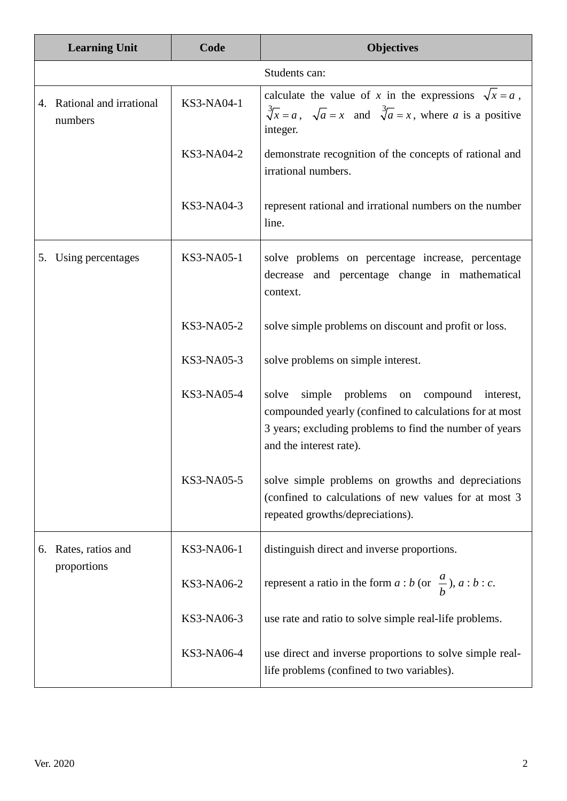|    | <b>Learning Unit</b>                  | Code              | <b>Objectives</b>                                                                                                                                                                               |
|----|---------------------------------------|-------------------|-------------------------------------------------------------------------------------------------------------------------------------------------------------------------------------------------|
|    |                                       |                   | Students can:                                                                                                                                                                                   |
|    | 4. Rational and irrational<br>numbers | KS3-NA04-1        | calculate the value of x in the expressions $\sqrt{x} = a$ ,<br>$\sqrt[3]{x} = a$ , $\sqrt{a} = x$ and $\sqrt[3]{a} = x$ , where a is a positive<br>integer.                                    |
|    |                                       | KS3-NA04-2        | demonstrate recognition of the concepts of rational and<br>irrational numbers.                                                                                                                  |
|    |                                       | KS3-NA04-3        | represent rational and irrational numbers on the number<br>line.                                                                                                                                |
|    | 5. Using percentages                  | KS3-NA05-1        | solve problems on percentage increase, percentage<br>decrease and percentage change in mathematical<br>context.                                                                                 |
|    |                                       | <b>KS3-NA05-2</b> | solve simple problems on discount and profit or loss.                                                                                                                                           |
|    |                                       | KS3-NA05-3        | solve problems on simple interest.                                                                                                                                                              |
|    |                                       | <b>KS3-NA05-4</b> | simple problems on compound interest,<br>solve<br>compounded yearly (confined to calculations for at most<br>3 years; excluding problems to find the number of years<br>and the interest rate). |
|    |                                       | KS3-NA05-5        | solve simple problems on growths and depreciations<br>(confined to calculations of new values for at most 3<br>repeated growths/depreciations).                                                 |
| 6. | Rates, ratios and                     | KS3-NA06-1        | distinguish direct and inverse proportions.                                                                                                                                                     |
|    | proportions                           | KS3-NA06-2        | represent a ratio in the form $a : b$ (or $\frac{a}{b}$ ), $a : b : c$ .                                                                                                                        |
|    |                                       | KS3-NA06-3        | use rate and ratio to solve simple real-life problems.                                                                                                                                          |
|    |                                       | KS3-NA06-4        | use direct and inverse proportions to solve simple real-<br>life problems (confined to two variables).                                                                                          |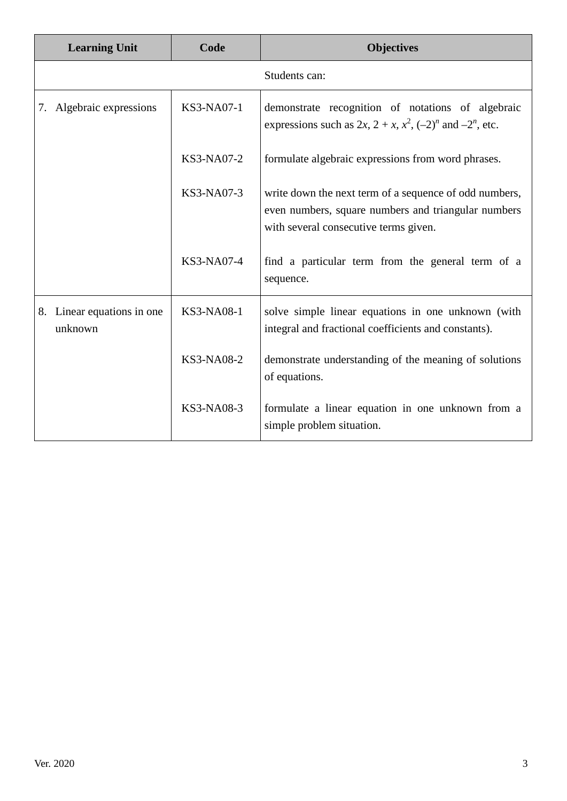| <b>Learning Unit</b>                  | Code              | <b>Objectives</b>                                                                                                                                      |
|---------------------------------------|-------------------|--------------------------------------------------------------------------------------------------------------------------------------------------------|
|                                       |                   | Students can:                                                                                                                                          |
| 7. Algebraic expressions              | KS3-NA07-1        | demonstrate recognition of notations of algebraic<br>expressions such as $2x$ , $2 + x$ , $x^2$ , $(-2)^n$ and $-2^n$ , etc.                           |
|                                       | KS3-NA07-2        | formulate algebraic expressions from word phrases.                                                                                                     |
|                                       | KS3-NA07-3        | write down the next term of a sequence of odd numbers,<br>even numbers, square numbers and triangular numbers<br>with several consecutive terms given. |
|                                       | KS3-NA07-4        | find a particular term from the general term of a<br>sequence.                                                                                         |
| 8. Linear equations in one<br>unknown | <b>KS3-NA08-1</b> | solve simple linear equations in one unknown (with<br>integral and fractional coefficients and constants).                                             |
|                                       | KS3-NA08-2        | demonstrate understanding of the meaning of solutions<br>of equations.                                                                                 |
|                                       | KS3-NA08-3        | formulate a linear equation in one unknown from a<br>simple problem situation.                                                                         |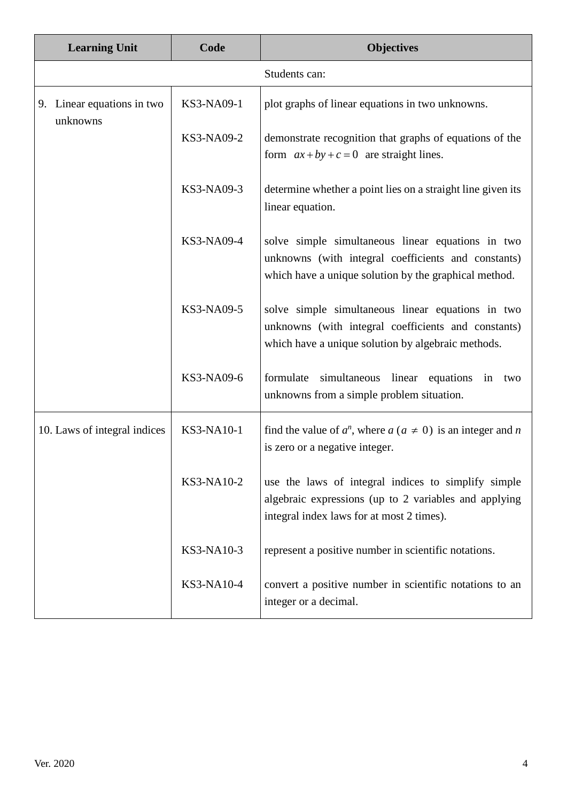|  | <b>Learning Unit</b>                   | Code       | <b>Objectives</b>                                                                                                                                                 |
|--|----------------------------------------|------------|-------------------------------------------------------------------------------------------------------------------------------------------------------------------|
|  |                                        |            | Students can:                                                                                                                                                     |
|  | 9. Linear equations in two<br>unknowns | KS3-NA09-1 | plot graphs of linear equations in two unknowns.                                                                                                                  |
|  |                                        | KS3-NA09-2 | demonstrate recognition that graphs of equations of the<br>form $ax + by + c = 0$ are straight lines.                                                             |
|  |                                        | KS3-NA09-3 | determine whether a point lies on a straight line given its<br>linear equation.                                                                                   |
|  |                                        | KS3-NA09-4 | solve simple simultaneous linear equations in two<br>unknowns (with integral coefficients and constants)<br>which have a unique solution by the graphical method. |
|  |                                        | KS3-NA09-5 | solve simple simultaneous linear equations in two<br>unknowns (with integral coefficients and constants)<br>which have a unique solution by algebraic methods.    |
|  |                                        | KS3-NA09-6 | formulate<br>simultaneous linear equations in<br>two<br>unknowns from a simple problem situation.                                                                 |
|  | 10. Laws of integral indices           | KS3-NA10-1 | find the value of $a^n$ , where $a (a \neq 0)$ is an integer and n<br>is zero or a negative integer.                                                              |
|  |                                        | KS3-NA10-2 | use the laws of integral indices to simplify simple<br>algebraic expressions (up to 2 variables and applying<br>integral index laws for at most 2 times).         |
|  |                                        | KS3-NA10-3 | represent a positive number in scientific notations.                                                                                                              |
|  |                                        | KS3-NA10-4 | convert a positive number in scientific notations to an<br>integer or a decimal.                                                                                  |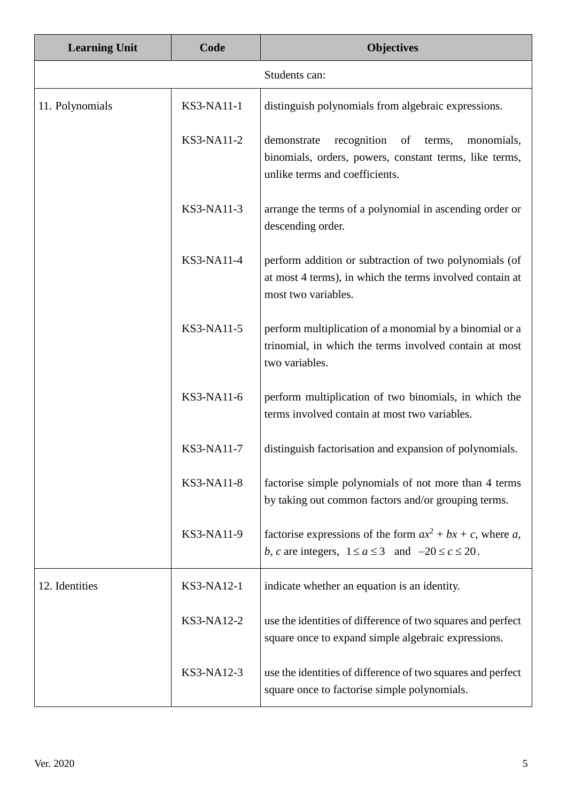| <b>Learning Unit</b> | Code              | <b>Objectives</b>                                                                                                                                    |
|----------------------|-------------------|------------------------------------------------------------------------------------------------------------------------------------------------------|
|                      |                   | Students can:                                                                                                                                        |
| 11. Polynomials      | <b>KS3-NA11-1</b> | distinguish polynomials from algebraic expressions.                                                                                                  |
|                      | KS3-NA11-2        | demonstrate<br>recognition<br>of<br>terms,<br>monomials,<br>binomials, orders, powers, constant terms, like terms,<br>unlike terms and coefficients. |
|                      | KS3-NA11-3        | arrange the terms of a polynomial in ascending order or<br>descending order.                                                                         |
|                      | KS3-NA11-4        | perform addition or subtraction of two polynomials (of<br>at most 4 terms), in which the terms involved contain at<br>most two variables.            |
|                      | KS3-NA11-5        | perform multiplication of a monomial by a binomial or a<br>trinomial, in which the terms involved contain at most<br>two variables.                  |
|                      | KS3-NA11-6        | perform multiplication of two binomials, in which the<br>terms involved contain at most two variables.                                               |
|                      | KS3-NA11-7        | distinguish factorisation and expansion of polynomials.                                                                                              |
|                      | <b>KS3-NA11-8</b> | factorise simple polynomials of not more than 4 terms<br>by taking out common factors and/or grouping terms.                                         |
|                      | KS3-NA11-9        | factorise expressions of the form $ax^2 + bx + c$ , where a,<br>b, c are integers, $1 \le a \le 3$ and $-20 \le c \le 20$ .                          |
| 12. Identities       | KS3-NA12-1        | indicate whether an equation is an identity.                                                                                                         |
|                      | KS3-NA12-2        | use the identities of difference of two squares and perfect<br>square once to expand simple algebraic expressions.                                   |
|                      | KS3-NA12-3        | use the identities of difference of two squares and perfect<br>square once to factorise simple polynomials.                                          |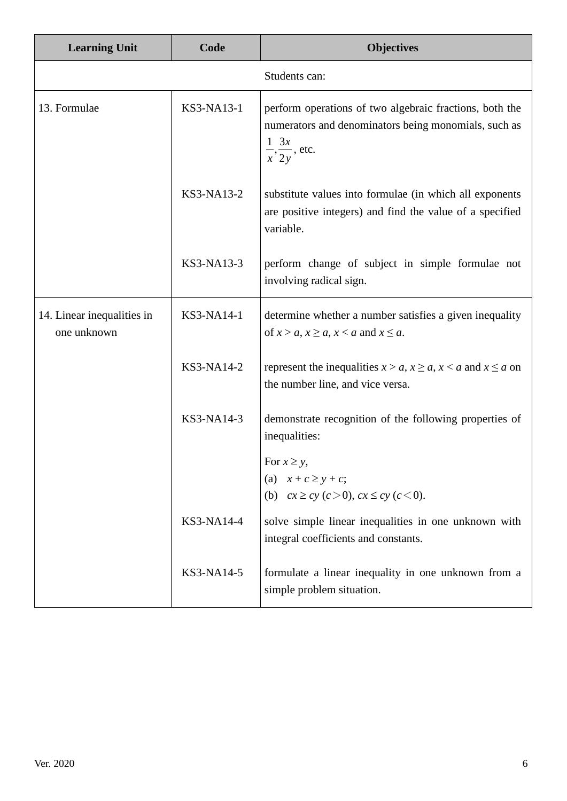| <b>Learning Unit</b>                      | Code       | <b>Objectives</b>                                                                                                                                      |
|-------------------------------------------|------------|--------------------------------------------------------------------------------------------------------------------------------------------------------|
|                                           |            | Students can:                                                                                                                                          |
| 13. Formulae                              | KS3-NA13-1 | perform operations of two algebraic fractions, both the<br>numerators and denominators being monomials, such as<br>$\frac{1}{x}, \frac{3x}{2y}$ , etc. |
|                                           | KS3-NA13-2 | substitute values into formulae (in which all exponents<br>are positive integers) and find the value of a specified<br>variable.                       |
|                                           | KS3-NA13-3 | perform change of subject in simple formulae not<br>involving radical sign.                                                                            |
| 14. Linear inequalities in<br>one unknown | KS3-NA14-1 | determine whether a number satisfies a given inequality<br>of $x > a$ , $x \ge a$ , $x < a$ and $x \le a$ .                                            |
|                                           | KS3-NA14-2 | represent the inequalities $x > a$ , $x \ge a$ , $x < a$ and $x \le a$ on<br>the number line, and vice versa.                                          |
|                                           | KS3-NA14-3 | demonstrate recognition of the following properties of<br>inequalities:                                                                                |
|                                           |            | For $x \geq y$ ,                                                                                                                                       |
|                                           |            | (a) $x + c \geq y + c$ ;                                                                                                                               |
|                                           |            | (b) $cx \ge cy$ (c > 0), $cx \le cy$ (c < 0).                                                                                                          |
|                                           | KS3-NA14-4 | solve simple linear inequalities in one unknown with<br>integral coefficients and constants.                                                           |
|                                           | KS3-NA14-5 | formulate a linear inequality in one unknown from a<br>simple problem situation.                                                                       |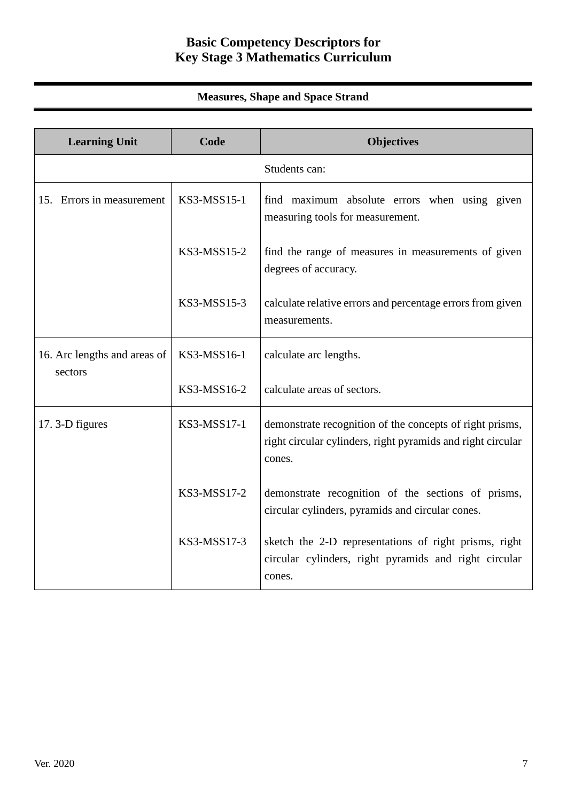# **Basic Competency Descriptors for Key Stage 3 Mathematics Curriculum**

## **Measures, Shape and Space Strand**

| <b>Learning Unit</b>                    | Code        | <b>Objectives</b>                                                                                                                 |
|-----------------------------------------|-------------|-----------------------------------------------------------------------------------------------------------------------------------|
|                                         |             | Students can:                                                                                                                     |
| 15. Errors in measurement               | KS3-MSS15-1 | find maximum absolute errors when using given<br>measuring tools for measurement.                                                 |
|                                         | KS3-MSS15-2 | find the range of measures in measurements of given<br>degrees of accuracy.                                                       |
|                                         | KS3-MSS15-3 | calculate relative errors and percentage errors from given<br>measurements.                                                       |
| 16. Arc lengths and areas of<br>sectors | KS3-MSS16-1 | calculate arc lengths.                                                                                                            |
|                                         | KS3-MSS16-2 | calculate areas of sectors.                                                                                                       |
| 17. 3-D figures                         | KS3-MSS17-1 | demonstrate recognition of the concepts of right prisms,<br>right circular cylinders, right pyramids and right circular<br>cones. |
|                                         | KS3-MSS17-2 | demonstrate recognition of the sections of prisms,<br>circular cylinders, pyramids and circular cones.                            |
|                                         | KS3-MSS17-3 | sketch the 2-D representations of right prisms, right<br>circular cylinders, right pyramids and right circular<br>cones.          |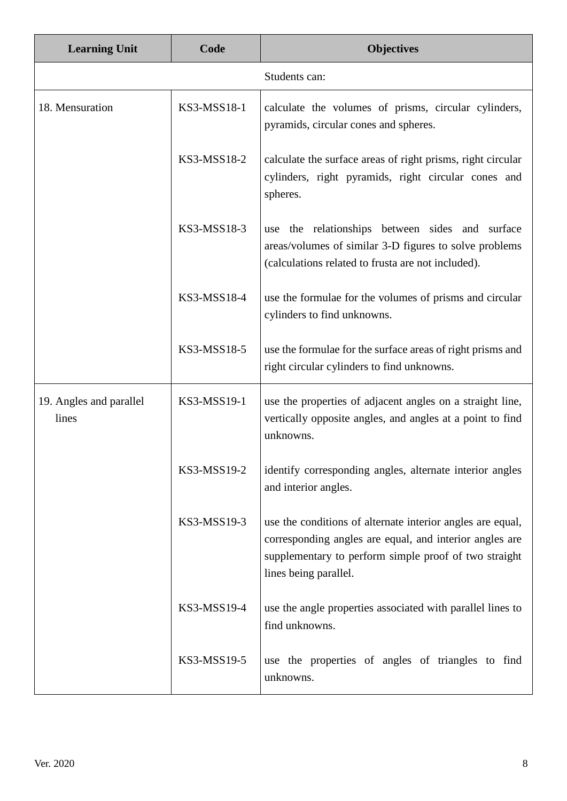| <b>Learning Unit</b>             | Code        | <b>Objectives</b>                                                                                                                                                                                       |
|----------------------------------|-------------|---------------------------------------------------------------------------------------------------------------------------------------------------------------------------------------------------------|
|                                  |             | Students can:                                                                                                                                                                                           |
| 18. Mensuration                  | KS3-MSS18-1 | calculate the volumes of prisms, circular cylinders,<br>pyramids, circular cones and spheres.                                                                                                           |
|                                  | KS3-MSS18-2 | calculate the surface areas of right prisms, right circular<br>cylinders, right pyramids, right circular cones and<br>spheres.                                                                          |
|                                  | KS3-MSS18-3 | the relationships between sides and surface<br>use<br>areas/volumes of similar 3-D figures to solve problems<br>(calculations related to frusta are not included).                                      |
|                                  | KS3-MSS18-4 | use the formulae for the volumes of prisms and circular<br>cylinders to find unknowns.                                                                                                                  |
|                                  | KS3-MSS18-5 | use the formulae for the surface areas of right prisms and<br>right circular cylinders to find unknowns.                                                                                                |
| 19. Angles and parallel<br>lines | KS3-MSS19-1 | use the properties of adjacent angles on a straight line,<br>vertically opposite angles, and angles at a point to find<br>unknowns.                                                                     |
|                                  | KS3-MSS19-2 | identify corresponding angles, alternate interior angles<br>and interior angles.                                                                                                                        |
|                                  | KS3-MSS19-3 | use the conditions of alternate interior angles are equal,<br>corresponding angles are equal, and interior angles are<br>supplementary to perform simple proof of two straight<br>lines being parallel. |
|                                  | KS3-MSS19-4 | use the angle properties associated with parallel lines to<br>find unknowns.                                                                                                                            |
|                                  | KS3-MSS19-5 | use the properties of angles of triangles to find<br>unknowns.                                                                                                                                          |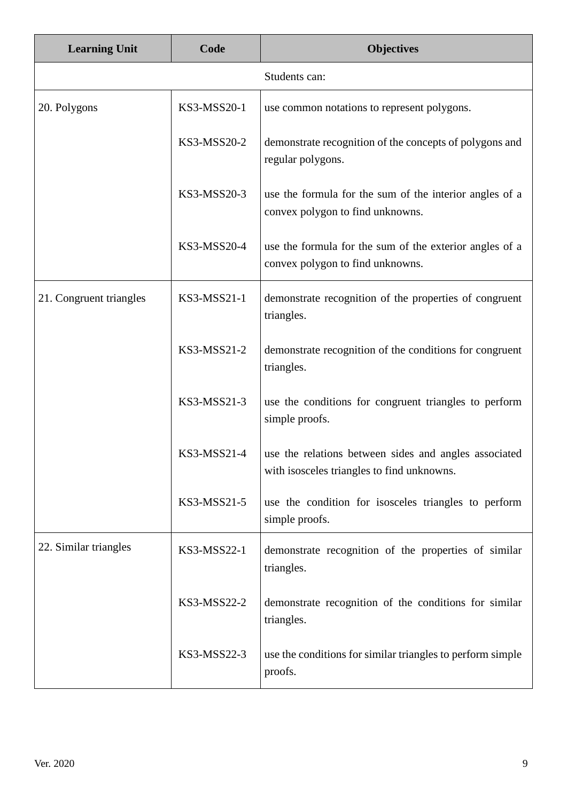| <b>Learning Unit</b>    | Code        | <b>Objectives</b>                                                                                   |
|-------------------------|-------------|-----------------------------------------------------------------------------------------------------|
|                         |             | Students can:                                                                                       |
| 20. Polygons            | KS3-MSS20-1 | use common notations to represent polygons.                                                         |
|                         | KS3-MSS20-2 | demonstrate recognition of the concepts of polygons and<br>regular polygons.                        |
|                         | KS3-MSS20-3 | use the formula for the sum of the interior angles of a<br>convex polygon to find unknowns.         |
|                         | KS3-MSS20-4 | use the formula for the sum of the exterior angles of a<br>convex polygon to find unknowns.         |
| 21. Congruent triangles | KS3-MSS21-1 | demonstrate recognition of the properties of congruent<br>triangles.                                |
|                         | KS3-MSS21-2 | demonstrate recognition of the conditions for congruent<br>triangles.                               |
|                         | KS3-MSS21-3 | use the conditions for congruent triangles to perform<br>simple proofs.                             |
|                         | KS3-MSS21-4 | use the relations between sides and angles associated<br>with isosceles triangles to find unknowns. |
|                         | KS3-MSS21-5 | use the condition for isosceles triangles to perform<br>simple proofs.                              |
| 22. Similar triangles   | KS3-MSS22-1 | demonstrate recognition of the properties of similar<br>triangles.                                  |
|                         | KS3-MSS22-2 | demonstrate recognition of the conditions for similar<br>triangles.                                 |
|                         | KS3-MSS22-3 | use the conditions for similar triangles to perform simple<br>proofs.                               |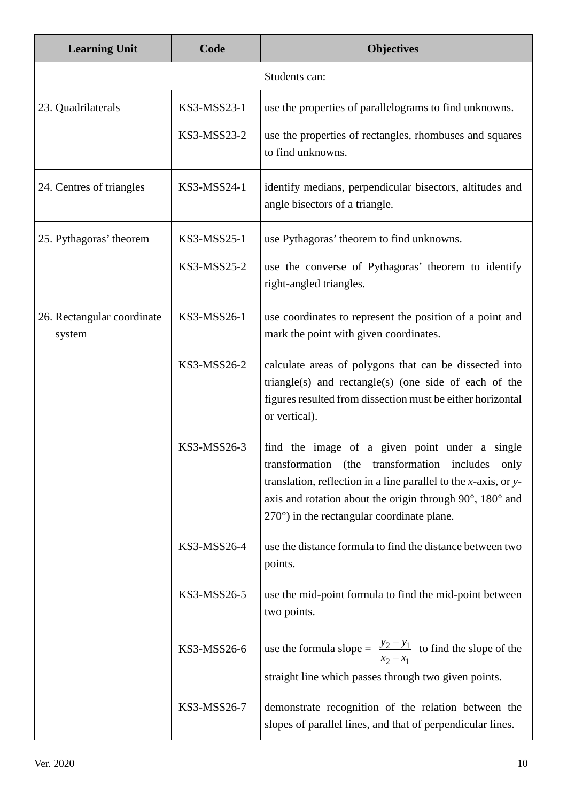| <b>Learning Unit</b>                 | Code        | <b>Objectives</b>                                                                                                                                                                                                                                                                                     |
|--------------------------------------|-------------|-------------------------------------------------------------------------------------------------------------------------------------------------------------------------------------------------------------------------------------------------------------------------------------------------------|
|                                      |             | Students can:                                                                                                                                                                                                                                                                                         |
| 23. Quadrilaterals                   | KS3-MSS23-1 | use the properties of parallelograms to find unknowns.                                                                                                                                                                                                                                                |
|                                      | KS3-MSS23-2 | use the properties of rectangles, rhombuses and squares<br>to find unknowns.                                                                                                                                                                                                                          |
| 24. Centres of triangles             | KS3-MSS24-1 | identify medians, perpendicular bisectors, altitudes and<br>angle bisectors of a triangle.                                                                                                                                                                                                            |
| 25. Pythagoras' theorem              | KS3-MSS25-1 | use Pythagoras' theorem to find unknowns.                                                                                                                                                                                                                                                             |
|                                      | KS3-MSS25-2 | use the converse of Pythagoras' theorem to identify<br>right-angled triangles.                                                                                                                                                                                                                        |
| 26. Rectangular coordinate<br>system | KS3-MSS26-1 | use coordinates to represent the position of a point and<br>mark the point with given coordinates.                                                                                                                                                                                                    |
|                                      | KS3-MSS26-2 | calculate areas of polygons that can be dissected into<br>triangle(s) and rectangle(s) (one side of each of the<br>figures resulted from dissection must be either horizontal<br>or vertical).                                                                                                        |
|                                      | KS3-MSS26-3 | find the image of a given point under a single<br>transformation<br>(the<br>transformation includes only<br>translation, reflection in a line parallel to the $x$ -axis, or $y$ -<br>axis and rotation about the origin through 90°, 180° and<br>$270^{\circ}$ ) in the rectangular coordinate plane. |
|                                      | KS3-MSS26-4 | use the distance formula to find the distance between two<br>points.                                                                                                                                                                                                                                  |
|                                      | KS3-MSS26-5 | use the mid-point formula to find the mid-point between<br>two points.                                                                                                                                                                                                                                |
|                                      | KS3-MSS26-6 | use the formula slope = $\frac{y_2 - y_1}{x_2 - x_1}$ to find the slope of the<br>straight line which passes through two given points.                                                                                                                                                                |
|                                      | KS3-MSS26-7 | demonstrate recognition of the relation between the<br>slopes of parallel lines, and that of perpendicular lines.                                                                                                                                                                                     |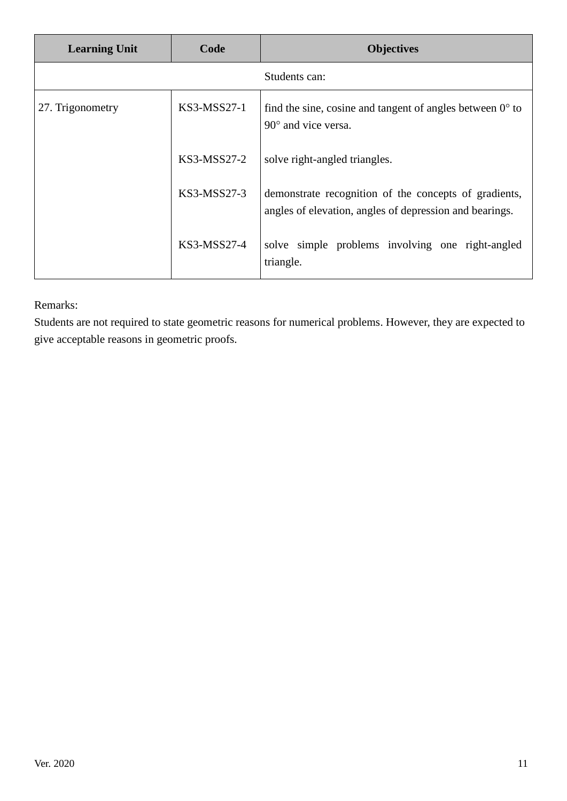| <b>Learning Unit</b> | Code          | <b>Objectives</b>                                                                                                |
|----------------------|---------------|------------------------------------------------------------------------------------------------------------------|
|                      |               | Students can:                                                                                                    |
| 27. Trigonometry     | KS3-MSS27-1   | find the sine, cosine and tangent of angles between $0^{\circ}$ to<br>$90^{\circ}$ and vice versa.               |
|                      | $KS3-MSS27-2$ | solve right-angled triangles.                                                                                    |
|                      | $KS3-MSS27-3$ | demonstrate recognition of the concepts of gradients,<br>angles of elevation, angles of depression and bearings. |
|                      | KS3-MSS27-4   | solve simple problems involving one right-angled<br>triangle.                                                    |

Remarks:

Students are not required to state geometric reasons for numerical problems. However, they are expected to give acceptable reasons in geometric proofs.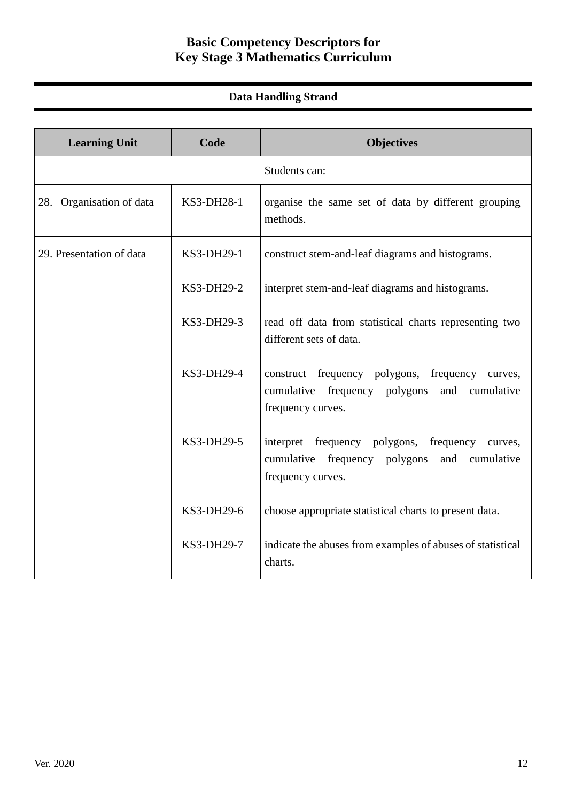# **Basic Competency Descriptors for Key Stage 3 Mathematics Curriculum**

## **Data Handling Strand**

| <b>Learning Unit</b>     | Code       | <b>Objectives</b>                                                                                                          |
|--------------------------|------------|----------------------------------------------------------------------------------------------------------------------------|
|                          |            | Students can:                                                                                                              |
| 28. Organisation of data | KS3-DH28-1 | organise the same set of data by different grouping<br>methods.                                                            |
| 29. Presentation of data | KS3-DH29-1 | construct stem-and-leaf diagrams and histograms.                                                                           |
|                          | KS3-DH29-2 | interpret stem-and-leaf diagrams and histograms.                                                                           |
|                          | KS3-DH29-3 | read off data from statistical charts representing two<br>different sets of data.                                          |
|                          | KS3-DH29-4 | construct frequency polygons, frequency curves,<br>cumulative frequency polygons and cumulative<br>frequency curves.       |
|                          | KS3-DH29-5 | interpret frequency polygons, frequency<br>curves,<br>cumulative frequency polygons<br>and cumulative<br>frequency curves. |
|                          | KS3-DH29-6 | choose appropriate statistical charts to present data.                                                                     |
|                          | KS3-DH29-7 | indicate the abuses from examples of abuses of statistical<br>charts.                                                      |